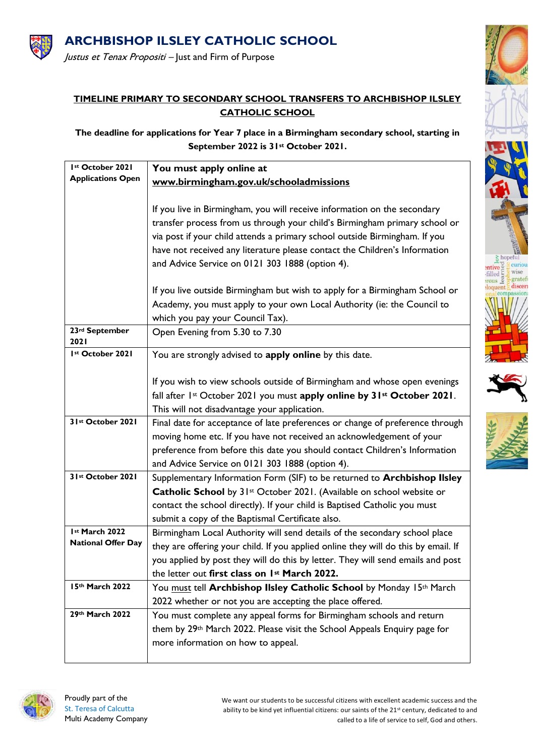

## **TIMELINE PRIMARY TO SECONDARY SCHOOL TRANSFERS TO ARCHBISHOP ILSLEY CATHOLIC SCHOOL**

**The deadline for applications for Year 7 place in a Birmingham secondary school, starting in September 2022 is 31st October 2021.**

| Ist October 2021          | You must apply online at                                                           |
|---------------------------|------------------------------------------------------------------------------------|
| <b>Applications Open</b>  | www.birmingham.gov.uk/schooladmissions                                             |
|                           |                                                                                    |
|                           | If you live in Birmingham, you will receive information on the secondary           |
|                           | transfer process from us through your child's Birmingham primary school or         |
|                           | via post if your child attends a primary school outside Birmingham. If you         |
|                           | have not received any literature please contact the Children's Information         |
|                           | and Advice Service on 0121 303 1888 (option 4).                                    |
|                           |                                                                                    |
|                           | If you live outside Birmingham but wish to apply for a Birmingham School or        |
|                           | Academy, you must apply to your own Local Authority (ie: the Council to            |
|                           | which you pay your Council Tax).                                                   |
| 23rd September            | Open Evening from 5.30 to 7.30                                                     |
| 2021                      |                                                                                    |
| Ist October 2021          | You are strongly advised to apply online by this date.                             |
|                           |                                                                                    |
|                           | If you wish to view schools outside of Birmingham and whose open evenings          |
|                           | fall after 1st October 2021 you must apply online by 31st October 2021.            |
|                           | This will not disadvantage your application.                                       |
| 31st October 2021         | Final date for acceptance of late preferences or change of preference through      |
|                           | moving home etc. If you have not received an acknowledgement of your               |
|                           | preference from before this date you should contact Children's Information         |
|                           | and Advice Service on 0121 303 1888 (option 4).                                    |
| 31st October 2021         | Supplementary Information Form (SIF) to be returned to <b>Archbishop IIsley</b>    |
|                           | Catholic School by 31st October 2021. (Available on school website or              |
|                           | contact the school directly). If your child is Baptised Catholic you must          |
|                           | submit a copy of the Baptismal Certificate also.                                   |
| Ist March 2022            | Birmingham Local Authority will send details of the secondary school place         |
| <b>National Offer Day</b> | they are offering your child. If you applied online they will do this by email. If |
|                           | you applied by post they will do this by letter. They will send emails and post    |
|                           | the letter out first class on 1st March 2022.                                      |
| 15th March 2022           | You must tell Archbishop Ilsley Catholic School by Monday 15th March               |
|                           | 2022 whether or not you are accepting the place offered.                           |
| 29th March 2022           | You must complete any appeal forms for Birmingham schools and return               |
|                           | them by 29th March 2022. Please visit the School Appeals Enquiry page for          |
|                           | more information on how to appeal.                                                 |
|                           |                                                                                    |



We want our students to be successful citizens with excellent academic success and the ability to be kind yet influential citizens: our saints of the 21<sup>st</sup> century, dedicated to and called to a life of service to self, God and others.

 $rac{8}{9}$  hopeful  $\frac{2}{\text{time}}$ 

 $rac{6}{2}$  curiou wise gratefi

discer